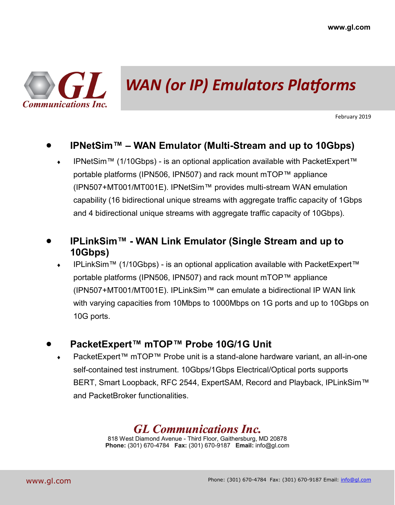

## *WAN (or IP) Emulators Platforms*

February 2019

### • **IPNetSim™ – WAN Emulator (Multi-Stream and up to 10Gbps)**

 IPNetSim™ (1/10Gbps) - is an optional application available with PacketExpert™ portable platforms (IPN506, IPN507) and rack mount mTOP™ appliance (IPN507+MT001/MT001E). IPNetSim™ provides multi-stream WAN emulation capability (16 bidirectional unique streams with aggregate traffic capacity of 1Gbps and 4 bidirectional unique streams with aggregate traffic capacity of 10Gbps).

### • **IPLinkSim™ - WAN Link Emulator (Single Stream and up to 10Gbps)**

 IPLinkSim™ (1/10Gbps) - is an optional application available with PacketExpert™ portable platforms (IPN506, IPN507) and rack mount mTOP™ appliance (IPN507+MT001/MT001E). IPLinkSim™ can emulate a bidirectional IP WAN link with varying capacities from 10Mbps to 1000Mbps on 1G ports and up to 10Gbps on 10G ports.

#### • **PacketExpert™ mTOP™ Probe 10G/1G Unit**

 PacketExpert™ mTOP™ Probe unit is a stand-alone hardware variant, an all-in-one self-contained test instrument. 10Gbps/1Gbps Electrical/Optical ports supports BERT, Smart Loopback, RFC 2544, ExpertSAM, Record and Playback, IPLinkSim™ and PacketBroker functionalities.

### *GL Communications Inc.*

818 West Diamond Avenue - Third Floor, Gaithersburg, MD 20878 **Phone:** (301) 670-4784 **Fax:** (301) 670-9187 **Email:** info@gl.com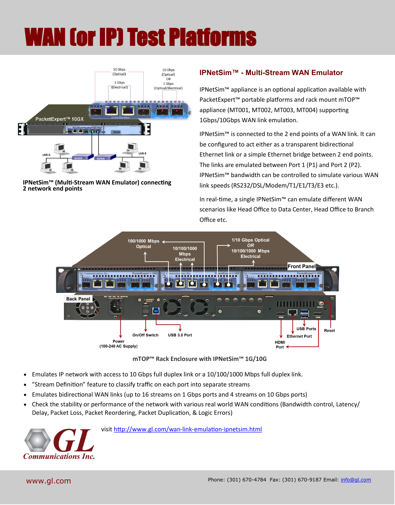# WAN (or IP) Test Platforms



#### **IPNetSim™ (Multi-Stream WAN Emulator) connecting 2 network end points**

#### **IPNetSim™ - Multi-Stream WAN Emulator**

IPNetSim™ appliance is an optional application available with PacketExpert™ portable platforms and rack mount mTOP™ appliance (MT001, MT002, MT003, MT004) supporting 1Gbps/10Gbps WAN link emulation.

IPNetSim™ is connected to the 2 end points of a WAN link. It can be configured to act either as a transparent bidirectional Ethernet link or a simple Ethernet bridge between 2 end points. The links are emulated between Port 1 (P1) and Port 2 (P2). IPNetSim™ bandwidth can be controlled to simulate various WAN link speeds (RS232/DSL/Modem/T1/E1/T3/E3 etc.).

In real-time, a single IPNetSim™ can emulate different WAN scenarios like Head Office to Data Center, Head Office to Branch Office etc.



**mTOP™ Rack Enclosure with IPNetSim™ 1G/10G**

- Emulates IP network with access to 10 Gbps full duplex link or a 10/100/1000 Mbps full duplex link.
- "Stream Definition" feature to classify traffic on each port into separate streams
- Emulates bidirectional WAN links (up to 16 streams on 1 Gbps ports and 4 streams on 10 Gbps ports)
- Check the stability or performance of the network with various real world WAN conditions (Bandwidth control, Latency/ Delay, Packet Loss, Packet Reordering, Packet Duplication, & Logic Errors)



visit [http://www.gl.com/wan](http://www.gl.com/wan-link-emulation-ipnetsim.html)-link-emulation-ipnetsim.html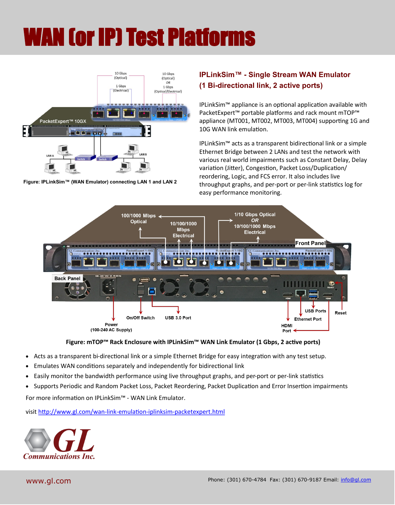# WAN (or IP) Test Platforms



**Figure: IPLinkSim™ (WAN Emulator) connecting LAN 1 and LAN 2**

#### **IPLinkSim™ - Single Stream WAN Emulator (1 Bi-directional link, 2 active ports)**

IPLinkSim™ appliance is an optional application available with PacketExpert™ portable platforms and rack mount mTOP™ appliance (MT001, MT002, MT003, MT004) supporting 1G and 10G WAN link emulation.

IPLinkSim™ acts as a transparent bidirectional link or a simple Ethernet Bridge between 2 LANs and test the network with various real world impairments such as Constant Delay, Delay variation (Jitter), Congestion, Packet Loss/Duplication/ reordering, Logic, and FCS error. It also includes live throughput graphs, and per-port or per-link statistics log for easy performance monitoring.





- Acts as a transparent bi-directional link or a simple Ethernet Bridge for easy integration with any test setup.
- Emulates WAN conditions separately and independently for bidirectional link
- Easily monitor the bandwidth performance using live throughput graphs, and per-port or per-link statistics
- Supports Periodic and Random Packet Loss, Packet Reordering, Packet Duplication and Error Insertion impairments

For more information on IPLinkSim™ - WAN Link Emulator.

visit [http://www.gl.com/wan](http://www.gl.com/wan-link-emulation-iplinksim-packetexpert.html)-link-emulation-iplinksim-packetexpert.html